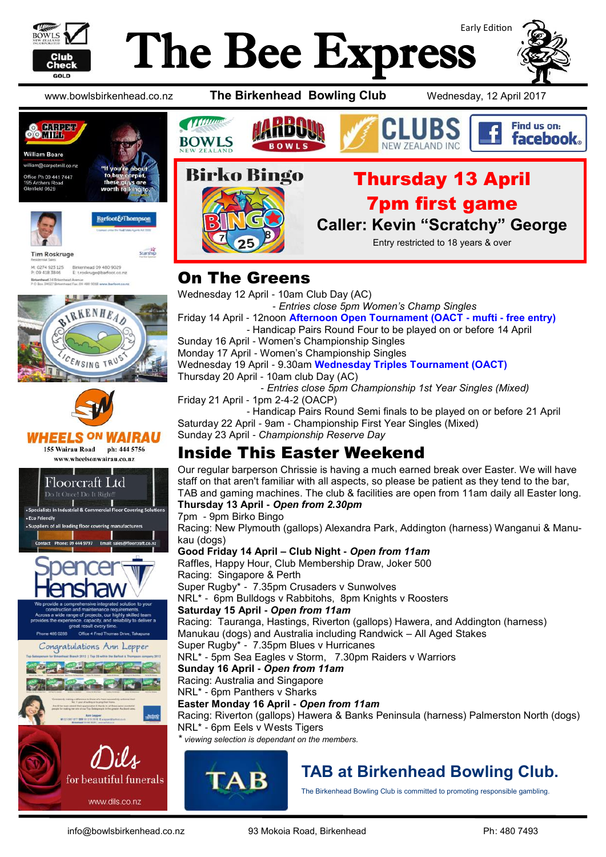

# Early Edition The Bee Express

www.bowlsbirkenhead.co.nz **The Birkenhead Bowling Club** Wednesday, 12 April 2017





M: 0274 923 125<br>P: 09 418 3846 Birkenhead 09 480 902<br>E: t.roskruge@barfoot.c Birkenhead 24 Bri<br>P O Box 34027 Bir

**Tim Roskruge** 















#### Thursday 13 April 7pm first game

**Caller: Kevin "Scratchy" George**

Entry restricted to 18 years & over

#### On The Greens

Wednesday 12 April - 10am Club Day (AC)

 - *Entries close 5pm Women's Champ Singles* Friday 14 April - 12noon **Afternoon Open Tournament (OACT - mufti - free entry)** - Handicap Pairs Round Four to be played on or before 14 April

Sunday 16 April - Women's Championship Singles

Monday 17 April - Women's Championship Singles

Wednesday 19 April - 9.30am **Wednesday Triples Tournament (OACT)** Thursday 20 April - 10am club Day (AC)

- *Entries close 5pm Championship 1st Year Singles (Mixed)*

Friday 21 April - 1pm 2-4-2 (OACP)

 - Handicap Pairs Round Semi finals to be played on or before 21 April Saturday 22 April - 9am - Championship First Year Singles (Mixed) Sunday 23 April - *Championship Reserve Day*

### Inside This Easter Weekend

Our regular barperson Chrissie is having a much earned break over Easter. We will have staff on that aren't familiar with all aspects, so please be patient as they tend to the bar, TAB and gaming machines. The club & facilities are open from 11am daily all Easter long. **Thursday 13 April -** *Open from 2.30pm*

7pm - 9pm Birko Bingo Racing: New Plymouth (gallops) Alexandra Park, Addington (harness) Wanganui & Manukau (dogs) **Good Friday 14 April – Club Night -** *Open from 11am* Raffles, Happy Hour, Club Membership Draw, Joker 500

Racing: Singapore & Perth Super Rugby\* - 7.35pm Crusaders v Sunwolves NRL\* - 6pm Bulldogs v Rabbitohs, 8pm Knights v Roosters **Saturday 15 April -** *Open from 11am*

Racing: Tauranga, Hastings, Riverton (gallops) Hawera, and Addington (harness) Manukau (dogs) and Australia including Randwick – All Aged Stakes

Super Rugby\* - 7.35pm Blues v Hurricanes

NRL\* - 5pm Sea Eagles v Storm, 7.30pm Raiders v Warriors

**Sunday 16 April -** *Open from 11am*

Racing: Australia and Singapore NRL\* - 6pm Panthers v Sharks

**Easter Monday 16 April -** *Open from 11am*

Racing: Riverton (gallops) Hawera & Banks Peninsula (harness) Palmerston North (dogs) NRL\* - 6pm Eels v Wests Tigers

*\* viewing selection is dependant on the members.*



## **TAB at Birkenhead Bowling Club.**

The Birkenhead Bowling Club is committed to promoting responsible gambling.

www.dils.co.nz



Find us on: facebook.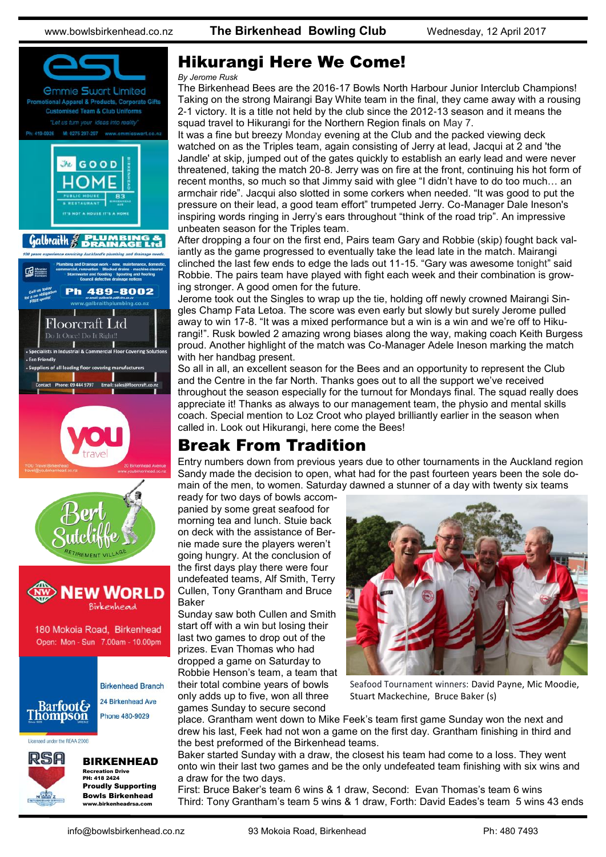

#### Hikurangi Here We Come!

#### *By Jerome Rusk*

The Birkenhead Bees are the 2016-17 Bowls North Harbour Junior Interclub Champions! Taking on the strong Mairangi Bay White team in the final, they came away with a rousing 2-1 victory. It is a title not held by the club since the 2012-13 season and it means the squad travel to Hikurangi for the Northern Region finals on May 7.

It was a fine but breezy Monday evening at the Club and the packed viewing deck watched on as the Triples team, again consisting of Jerry at lead, Jacqui at 2 and 'the Jandle' at skip, jumped out of the gates quickly to establish an early lead and were never threatened, taking the match 20-8. Jerry was on fire at the front, continuing his hot form of recent months, so much so that Jimmy said with glee "I didn't have to do too much… an armchair ride". Jacqui also slotted in some corkers when needed. "It was good to put the pressure on their lead, a good team effort" trumpeted Jerry. Co-Manager Dale Ineson's inspiring words ringing in Jerry's ears throughout "think of the road trip". An impressive unbeaten season for the Triples team.

After dropping a four on the first end, Pairs team Gary and Robbie (skip) fought back valiantly as the game progressed to eventually take the lead late in the match. Mairangi clinched the last few ends to edge the lads out 11-15. "Gary was awesome tonight" said Robbie. The pairs team have played with fight each week and their combination is growing stronger. A good omen for the future.

Jerome took out the Singles to wrap up the tie, holding off newly crowned Mairangi Singles Champ Fata Letoa. The score was even early but slowly but surely Jerome pulled away to win 17-8. "It was a mixed performance but a win is a win and we're off to Hikurangi!". Rusk bowled 2 amazing wrong biases along the way, making coach Keith Burgess proud. Another highlight of the match was Co-Manager Adele Ineson marking the match with her handbag present.

So all in all, an excellent season for the Bees and an opportunity to represent the Club and the Centre in the far North. Thanks goes out to all the support we've received throughout the season especially for the turnout for Mondays final. The squad really does appreciate it! Thanks as always to our management team, the physio and mental skills coach. Special mention to Loz Croot who played brilliantly earlier in the season when called in. Look out Hikurangi, here come the Bees!

#### Break From Tradition

Entry numbers down from previous years due to other tournaments in the Auckland region Sandy made the decision to open, what had for the past fourteen years been the sole domain of the men, to women. Saturday dawned a stunner of a day with twenty six teams

ready for two days of bowls accompanied by some great seafood for morning tea and lunch. Stuie back on deck with the assistance of Bernie made sure the players weren't going hungry. At the conclusion of the first days play there were four undefeated teams, Alf Smith, Terry Cullen, Tony Grantham and Bruce Baker

Sunday saw both Cullen and Smith start off with a win but losing their last two games to drop out of the prizes. Evan Thomas who had dropped a game on Saturday to Robbie Henson's team, a team that their total combine years of bowls only adds up to five, won all three games Sunday to secure second

![](_page_1_Picture_15.jpeg)

Seafood Tournament winners: David Payne, Mic Moodie, Stuart Mackechine, Bruce Baker (s)

place. Grantham went down to Mike Feek's team first game Sunday won the next and drew his last, Feek had not won a game on the first day. Grantham finishing in third and the best preformed of the Birkenhead teams.

Baker started Sunday with a draw, the closest his team had come to a loss. They went onto win their last two games and be the only undefeated team finishing with six wins and a draw for the two days.

First: Bruce Baker's team 6 wins & 1 draw, Second: Evan Thomas's team 6 wins Third: Tony Grantham's team 5 wins & 1 draw, Forth: David Eades's team 5 wins 43 ends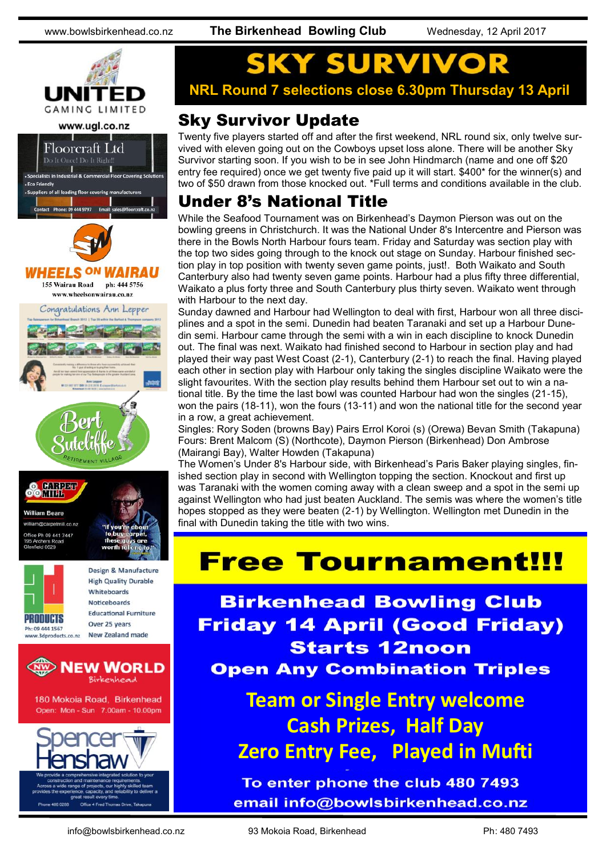www.bowlsbirkenhead.co.nz **The Birkenhead Bowling Club** Wednesday, 12 April 2017

![](_page_2_Picture_3.jpeg)

![](_page_2_Picture_4.jpeg)

![](_page_2_Picture_5.jpeg)

![](_page_2_Picture_6.jpeg)

![](_page_2_Picture_7.jpeg)

![](_page_2_Picture_8.jpeg)

field 0629

Design & Manufacture **High Quality Durable** Whiteboards **Noticehoards Educational Furniture** Over 25 years New Zealand made

![](_page_2_Picture_10.jpeg)

180 Mokoia Road, Birkenhead Open: Mon - Sun 7.00am - 10.00pm

![](_page_2_Picture_12.jpeg)

**NRL Round 7 selections close 6.30pm Thursday 13 April**

#### Sky Survivor Update

Twenty five players started off and after the first weekend, NRL round six, only twelve survived with eleven going out on the Cowboys upset loss alone. There will be another Sky Survivor starting soon. If you wish to be in see John Hindmarch (name and one off \$20 entry fee required) once we get twenty five paid up it will start. \$400\* for the winner(s) and two of \$50 drawn from those knocked out. \*Full terms and conditions available in the club.

#### Under 8's National Title

While the Seafood Tournament was on Birkenhead's Daymon Pierson was out on the bowling greens in Christchurch. It was the National Under 8's Intercentre and Pierson was there in the Bowls North Harbour fours team. Friday and Saturday was section play with the top two sides going through to the knock out stage on Sunday. Harbour finished section play in top position with twenty seven game points, just!. Both Waikato and South Canterbury also had twenty seven game points. Harbour had a plus fifty three differential, Waikato a plus forty three and South Canterbury plus thirty seven. Waikato went through with Harbour to the next day.

Sunday dawned and Harbour had Wellington to deal with first, Harbour won all three disciplines and a spot in the semi. Dunedin had beaten Taranaki and set up a Harbour Dunedin semi. Harbour came through the semi with a win in each discipline to knock Dunedin out. The final was next. Waikato had finished second to Harbour in section play and had played their way past West Coast (2-1), Canterbury (2-1) to reach the final. Having played each other in section play with Harbour only taking the singles discipline Waikato were the slight favourites. With the section play results behind them Harbour set out to win a national title. By the time the last bowl was counted Harbour had won the singles (21-15), won the pairs (18-11), won the fours (13-11) and won the national title for the second year in a row, a great achievement.

Singles: Rory Soden (browns Bay) Pairs Errol Koroi (s) (Orewa) Bevan Smith (Takapuna) Fours: Brent Malcom (S) (Northcote), Daymon Pierson (Birkenhead) Don Ambrose (Mairangi Bay), Walter Howden (Takapuna)

The Women's Under 8's Harbour side, with Birkenhead's Paris Baker playing singles, finished section play in second with Wellington topping the section. Knockout and first up was Taranaki with the women coming away with a clean sweep and a spot in the semi up against Wellington who had just beaten Auckland. The semis was where the women's title hopes stopped as they were beaten (2-1) by Wellington. Wellington met Dunedin in the final with Dunedin taking the title with two wins.

## **Free Tournament!!!**

**Birkenhead Bowling Club Friday 14 April (Good Friday) Starts 12noon Open Any Combination Triples** 

> **Team or Single Entry welcome Cash Prizes, Half Day Zero Entry Fee, Played in Mufti**

To enter phone the club 480 7493 email info@bowlsbirkenhead.co.nz